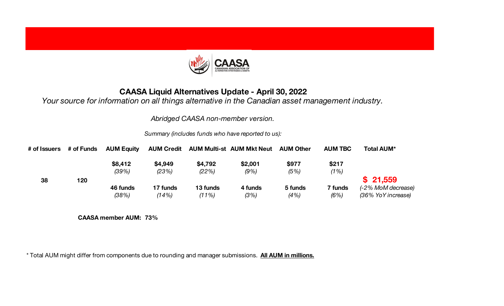

## **CAASA Liquid Alternatives Update - April 30, 2022**

*Your source for information on all things alternative in the Canadian asset management industry.*

*Abridged CAASA non-member version.*

*Summary (includes funds who have reported to us):*

| # of Issuers | # of Funds | <b>AUM Equity</b> | <b>AUM Credit</b> |          | <b>AUM Multi-st AUM Mkt Neut</b> | <b>AUM Other</b> | <b>AUM TBC</b> | <b>Total AUM*</b>  |
|--------------|------------|-------------------|-------------------|----------|----------------------------------|------------------|----------------|--------------------|
|              |            | \$8,412           | \$4,949           | \$4,792  | \$2,001                          | \$977            | \$217          |                    |
|              |            | (39%)             | (23%)             | (22%)    | (9%)                             | (5%)             | (1%)           |                    |
| 38           | 120        |                   |                   |          |                                  |                  |                | \$21,559           |
|              |            | 46 funds          | 17 funds          | 13 funds | 4 funds                          | 5 funds          | 7 funds        | (-2% MoM decrease) |
|              |            | (38%)             | (14%)             | (11%)    | (3%)                             | (4%)             | (6%)           | (36% YoY increase) |

**CAASA member AUM: 73%**

\* Total AUM might differ from components due to rounding and manager submissions. **All AUM in millions.**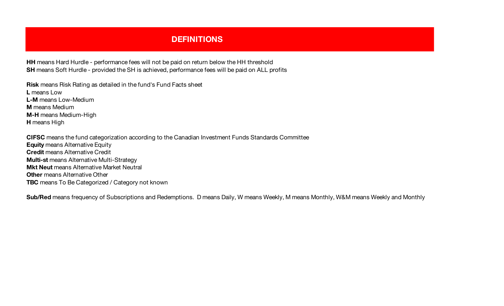## **DEFINITIONS ALTERNATIVE FUND LISTING FUND LISTING CONSUMING CONSUMING CONSUMING CONSUMING CONSUMING CONSUMING CONSUMING CONSUMING CONSUMING CONSUMING CONSUMING CONSUMING CONSUMING CONSUMING CONSUMING CONSUMING CONSUMING**

**HH** means Hard Hurdle - performance fees will not be paid on return below the HH threshold **SH** means Soft Hurdle - provided the SH is achieved, performance fees will be paid on ALL profits

**Risk** means Risk Rating as detailed in the fund's Fund Facts sheet **L** means Low **L-M** means Low-Medium **M** means Medium **M-H** means Medium-High **H** means High

**CIFSC** means the fund categorization according to the Canadian Investment Funds Standards Committee **Equity** means Alternative Equity **Credit** means Alternative Credit **Multi-st** means Alternative Multi-Strategy **Mkt Neut** means Alternative Market Neutral **Other** means Alternative Other **TBC** means To Be Categorized / Category not known

**Sub/Red** means frequency of Subscriptions and Redemptions. D means Daily, W means Weekly, M means Monthly, W&M means Weekly and Monthly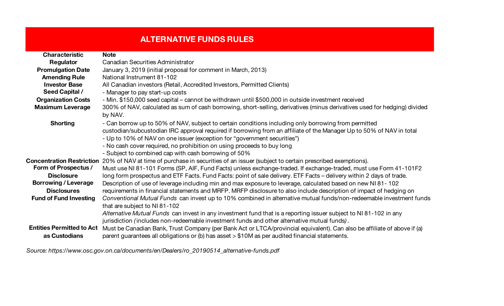# **ALTERNATIVE FUNDS RULES**

| <b>Characteristic</b>            | <b>Note</b>                                                                                                               |
|----------------------------------|---------------------------------------------------------------------------------------------------------------------------|
| Regulator                        | <b>Canadian Securities Administrator</b>                                                                                  |
| <b>Promulgation Date</b>         | January 3, 2019 (initial proposal for comment in March, 2013)                                                             |
| <b>Amending Rule</b>             | National Instrument 81-102                                                                                                |
| <b>Investor Base</b>             | All Canadian investors (Retail, Accredited Investors, Permitted Clients)                                                  |
| <b>Seed Capital /</b>            | - Manager to pay start-up costs                                                                                           |
| <b>Organization Costs</b>        | - Min. \$150,000 seed capital – cannot be withdrawn until \$500,000 in outside investment received                        |
| <b>Maximum Leverage</b>          | 300% of NAV, calculated as sum of cash borrowing, short-selling, derivatives (minus derivatives used for hedging) divided |
|                                  | by NAV.                                                                                                                   |
| <b>Shorting</b>                  | - Can borrow up to 50% of NAV, subject to certain conditions including only borrowing from permitted                      |
|                                  | custodian/subcustodian IRC approval required if borrowing from an affiliate of the Manager Up to 50% of NAV in total      |
|                                  | - Up to 10% of NAV on one issuer (exception for "government securities")                                                  |
|                                  | - No cash cover required, no prohibition on using proceeds to buy long                                                    |
|                                  | - Subject to combined cap with cash borrowing of 50%                                                                      |
| <b>Concentration Restriction</b> | 20% of NAV at time of purchase in securities of an issuer (subject to certain prescribed exemptions).                     |
| Form of Prospectus /             | Must use NI 81-101 Forms (SP, AIF, Fund Facts) unless exchange-traded. If exchange-traded, must use Form 41-101F2         |
| <b>Disclosure</b>                | long form prospectus and ETF Facts. Fund Facts: point of sale delivery. ETF Facts – delivery within 2 days of trade.      |
| <b>Borrowing / Leverage</b>      | Description of use of leverage including min and max exposure to leverage, calculated based on new NI 81-102              |
| <b>Disclosures</b>               | requirements in financial statements and MRFP. MRFP disclosure to also include description of impact of hedging on        |
| <b>Fund of Fund Investing</b>    | Conventional Mutual Funds can invest up to 10% combined in alternative mutual funds/non-redeemable investment funds       |
|                                  | that are subject to NI 81-102                                                                                             |
|                                  | Alternative Mutual Funds can invest in any investment fund that is a reporting issuer subject to NI 81-102 in any         |
|                                  | jurisdiction (includes non-redeemable investment funds and other alternative mutual funds).                               |
| <b>Entities Permitted to Act</b> | Must be Canadian Bank, Trust Company (per Bank Act or LTCA/provincial equivalent). Can also be affiliate of above if (a)  |
| as Custodians                    | parent guarantees all obligations or (b) has asset > \$10M as per audited financial statements.                           |

*Source: https://www.osc.gov.on.ca/documents/en/Dealers/ro\_20190514\_alternative-funds.pdf*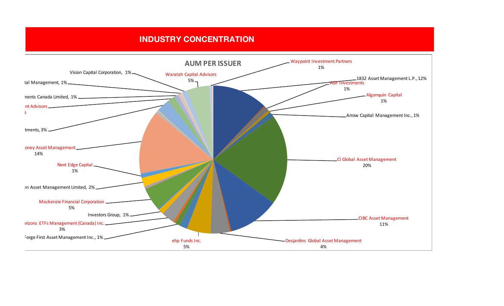### **INDUSTRY CONCENTRATION**

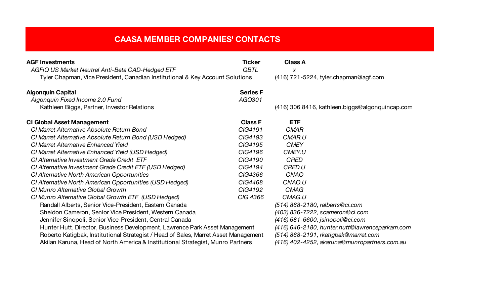| <b>AGF Investments</b>                                                              | Ticker          | <b>Class A</b>                                  |
|-------------------------------------------------------------------------------------|-----------------|-------------------------------------------------|
| AGFIQ US Market Neutral Anti-Beta CAD-Hedged ETF                                    | <b>QBTL</b>     | X                                               |
| Tyler Chapman, Vice President, Canadian Institutional & Key Account Solutions       |                 | (416) 721-5224, tyler.chapman@agf.com           |
| <b>Algonquin Capital</b>                                                            | <b>Series F</b> |                                                 |
| Algonquin Fixed Income 2.0 Fund                                                     | AGQ301          |                                                 |
| Kathleen Biggs, Partner, Investor Relations                                         |                 | (416) 306 8416, kathleen biggs@algonquincap.com |
| <b>CI Global Asset Management</b>                                                   | <b>Class F</b>  | <b>ETF</b>                                      |
| CI Marret Alternative Absolute Return Bond                                          | CIG4191         | <b>CMAR</b>                                     |
| CI Marret Alternative Absolute Return Bond (USD Hedged)                             | CIG4193         | CMAR.U                                          |
| CI Marret Alternative Enhanced Yield                                                | CIG4195         | <b>CMEY</b>                                     |
| CI Marret Alternative Enhanced Yield (USD Hedged)                                   | CIG4196         | CMEY.U                                          |
| CI Alternative Investment Grade Credit ETF                                          | CIG4190         | <b>CRED</b>                                     |
| CI Alternative Investment Grade Credit ETF (USD Hedged)                             | CIG4194         | CRED.U                                          |
| CI Alternative North American Opportunities                                         | CIG4366         | CNAO                                            |
| CI Alternative North American Opportunities (USD Hedged)                            | CIG4468         | CNAO.U                                          |
| CI Munro Alternative Global Growth                                                  | CIG4192         | <b>CMAG</b>                                     |
| CI Munro Alternative Global Growth ETF (USD Hedged)                                 | CIG 4366        | CMAG.U                                          |
| Randall Alberts, Senior Vice-President, Eastern Canada                              |                 | (514) 868-2180, ralberts@ci.com                 |
| Sheldon Cameron, Senior Vice President, Western Canada                              |                 | $(403)$ 836-7222, scameron@ci.com               |
| Jennifer Sinopoli, Senior Vice-President, Central Canada                            |                 | $(416)$ 681-6600, jsinopoli@ci.com              |
| Hunter Hutt, Director, Business Development, Lawrence Park Asset Management         |                 | (416) 646-2180, hunter.hutt@lawrenceparkam.com  |
| Roberto Katigbak, Institutional Strategist / Head of Sales, Marret Asset Management |                 | (514) 868-2191, rkatigbak@marret.com            |
| Akilan Karuna, Head of North America & Institutional Strategist, Munro Partners     |                 | (416) 402-4252, akaruna@munropartners.com.au    |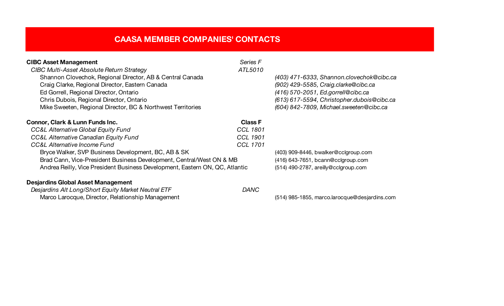| <b>CIBC Asset Management</b>                                                 | Series F        |                                            |
|------------------------------------------------------------------------------|-----------------|--------------------------------------------|
| <b>CIBC Multi-Asset Absolute Return Strategy</b>                             | ATL5010         |                                            |
| Shannon Clovechok, Regional Director, AB & Central Canada                    |                 | (403) 471-6333, Shannon.clovechok@cibc.ca  |
| Craig Clarke, Regional Director, Eastern Canada                              |                 | (902) 429-5585, Craig.clarke@cibc.ca       |
| Ed Gorrell, Regional Director, Ontario                                       |                 | (416) 570-2051, Ed.gorrell@cibc.ca         |
| Chris Dubois, Regional Director, Ontario                                     |                 | (613) 617-5594, Christopher.dubois@cibc.ca |
| Mike Sweeten, Regional Director, BC & Northwest Territories                  |                 | (604) 842-7809, Michael.sweeten@cibc.ca    |
| Connor, Clark & Lunn Funds Inc.                                              | <b>Class F</b>  |                                            |
| <b>CC&amp;L Alternative Global Equity Fund</b>                               | <b>CCL 1801</b> |                                            |
| CC&L Alternative Canadian Equity Fund                                        | <b>CCL 1901</b> |                                            |
| <b>CC&amp;L Alternative Income Fund</b>                                      | <b>CCL 1701</b> |                                            |
| Bryce Walker, SVP Business Development, BC, AB & SK                          |                 | (403) 909-8446, bwalker@cclgroup.com       |
| Brad Cann, Vice-President Business Development, Central/West ON & MB         |                 | (416) 643-7651, bcann@cclgroup.com         |
| Andrea Reilly, Vice President Business Development, Eastern ON, QC, Atlantic |                 | (514) 490-2787, areilly@cclgroup.com       |

*Desjardins Alt Long/Short Equity Market Neutral ETF DANC* Marco Larocque, Director, Relationship Management (514) 985-1855, marco.larocque@desjardins.com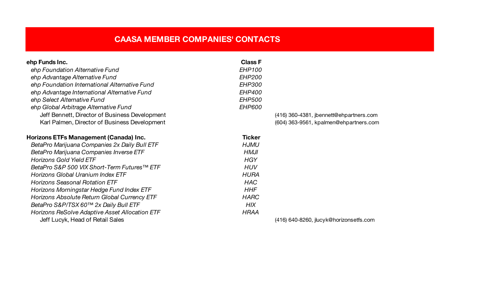| ehp Funds Inc.                                 | <b>Class F</b> |                                         |
|------------------------------------------------|----------------|-----------------------------------------|
| ehp Foundation Alternative Fund                | <b>EHP100</b>  |                                         |
| ehp Advantage Alternative Fund                 | <b>EHP200</b>  |                                         |
| ehp Foundation International Alternative Fund  | <b>EHP300</b>  |                                         |
| ehp Advantage International Alternative Fund   | <b>EHP400</b>  |                                         |
| ehp Select Alternative Fund                    | <b>EHP500</b>  |                                         |
| ehp Global Arbitrage Alternative Fund          | <b>EHP600</b>  |                                         |
| Jeff Bennett, Director of Business Development |                | (416) 360-4381, jbennett@ehpartners.com |
| Karl Palmen, Director of Business Development  |                | (604) 363-9561, kpalmen@ehpartners.com  |
| Horizons ETFs Management (Canada) Inc.         | <b>Ticker</b>  |                                         |
| BetaPro Marijuana Companies 2x Daily Bull ETF  | <b>HJMU</b>    |                                         |
| BetaPro Marijuana Companies Inverse ETF        | <b>HMJI</b>    |                                         |
| <b>Horizons Gold Yield ETF</b>                 | <b>HGY</b>     |                                         |
| BetaPro S&P 500 VIX Short-Term Futures™ ETF    | <b>HUV</b>     |                                         |
| Horizons Global Uranium Index ETF              | <b>HURA</b>    |                                         |
| <b>Horizons Seasonal Rotation ETF</b>          | <b>HAC</b>     |                                         |
| Horizons Morningstar Hedge Fund Index ETF      | <b>HHF</b>     |                                         |
| Horizons Absolute Return Global Currency ETF   | <b>HARC</b>    |                                         |
| BetaPro S&P/TSX 60™ 2x Daily Bull ETF          | <b>HIX</b>     |                                         |
| Horizons ReSolve Adaptive Asset Allocation ETF | <b>HRAA</b>    |                                         |
| Jeff Lucyk, Head of Retail Sales               |                | (416) 640-8260, jlucyk@horizonsetfs.com |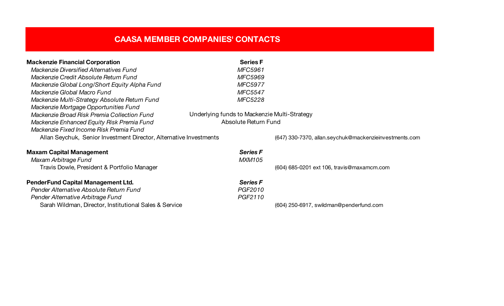| <b>Mackenzie Financial Corporation</b>                             | <b>Series F</b>                              |                                                        |
|--------------------------------------------------------------------|----------------------------------------------|--------------------------------------------------------|
| <b>Mackenzie Diversified Alternatives Fund</b>                     | <b>MFC5961</b>                               |                                                        |
| Mackenzie Credit Absolute Return Fund                              | <b>MFC5969</b>                               |                                                        |
| Mackenzie Global Long/Short Equity Alpha Fund                      | <b>MFC5977</b>                               |                                                        |
| Mackenzie Global Macro Fund                                        | <b>MFC5547</b>                               |                                                        |
| Mackenzie Multi-Strategy Absolute Return Fund                      | <b>MFC5228</b>                               |                                                        |
| Mackenzie Mortgage Opportunities Fund                              |                                              |                                                        |
| Mackenzie Broad Risk Premia Collection Fund                        | Underlying funds to Mackenzie Multi-Strategy |                                                        |
| Mackenzie Enhanced Equity Risk Premia Fund                         | Absolute Return Fund                         |                                                        |
| Mackenzie Fixed Income Risk Premia Fund                            |                                              |                                                        |
| Allan Seychuk, Senior Investment Director, Alternative Investments |                                              | (647) 330-7370, allan.seychuk@mackenzieinvestments.com |
| <b>Maxam Capital Management</b>                                    | <b>Series F</b>                              |                                                        |
| Maxam Arbitrage Fund                                               | <b>MXM105</b>                                |                                                        |
| Travis Dowle, President & Portfolio Manager                        |                                              | (604) 685-0201 ext 106, travis@maxamcm.com             |
| <b>PenderFund Capital Management Ltd.</b>                          | <b>Series F</b>                              |                                                        |
| Pender Alternative Absolute Return Fund                            | PGF2010                                      |                                                        |
| Pender Alternative Arbitrage Fund                                  | PGF2110                                      |                                                        |
| Sarah Wildman, Director, Institutional Sales & Service             |                                              | (604) 250-6917, swildman@penderfund.com                |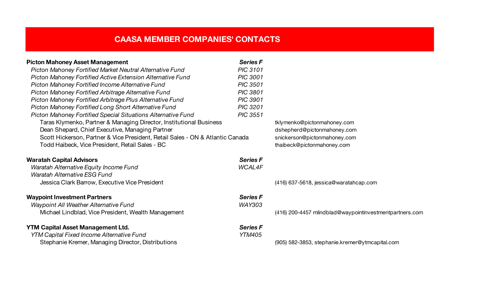| <b>Picton Mahoney Asset Management</b>                                         | <b>Series F</b> |                                                         |
|--------------------------------------------------------------------------------|-----------------|---------------------------------------------------------|
| Picton Mahoney Fortified Market Neutral Alternative Fund                       | <b>PIC 3101</b> |                                                         |
| Picton Mahoney Fortified Active Extension Alternative Fund                     | <b>PIC 3001</b> |                                                         |
| Picton Mahoney Fortified Income Alternative Fund                               | <b>PIC 3501</b> |                                                         |
| Picton Mahoney Fortified Arbitrage Alternative Fund                            | <b>PIC 3801</b> |                                                         |
| Picton Mahoney Fortified Arbitrage Plus Alternative Fund                       | <b>PIC 3901</b> |                                                         |
| Picton Mahoney Fortified Long Short Alternative Fund                           | <b>PIC 3201</b> |                                                         |
| Picton Mahoney Fortified Special Situations Alternative Fund                   | <b>PIC 3551</b> |                                                         |
| Taras Klymenko, Partner & Managing Director, Institutional Business            |                 | tklymenko@pictonmahoney.com                             |
| Dean Shepard, Chief Executive, Managing Partner                                |                 | dshepherd@pictonmahoney.com                             |
| Scott Hickerson, Partner & Vice President, Retail Sales - ON & Atlantic Canada |                 | snickerson@pictonmahoney.com                            |
| Todd Haibeck, Vice President, Retail Sales - BC                                |                 | thaibeck@pictonmahoney.com                              |
| <b>Waratah Capital Advisors</b>                                                | <b>Series F</b> |                                                         |
| Waratah Alternative Equity Income Fund                                         | <b>WCAL4F</b>   |                                                         |
| Waratah Alternative ESG Fund                                                   |                 |                                                         |
| Jessica Clark Barrow, Executive Vice President                                 |                 | (416) 637-5618, jessica@waratahcap.com                  |
| <b>Waypoint Investment Partners</b>                                            | <b>Series F</b> |                                                         |
| Waypoint All Weather Alternative Fund                                          | <b>WAY303</b>   |                                                         |
| Michael Lindblad, Vice President, Wealth Management                            |                 | (416) 200-4457 mlindblad@waypointinvestmentpartners.com |
| <b>YTM Capital Asset Management Ltd.</b>                                       | <b>Series F</b> |                                                         |
| <b>YTM Capital Fixed Income Alternative Fund</b>                               | <b>YTM405</b>   |                                                         |
| Stephanie Kremer, Managing Director, Distributions                             |                 | (905) 582-3853, stephanie.kremer@ytmcapital.com         |
|                                                                                |                 |                                                         |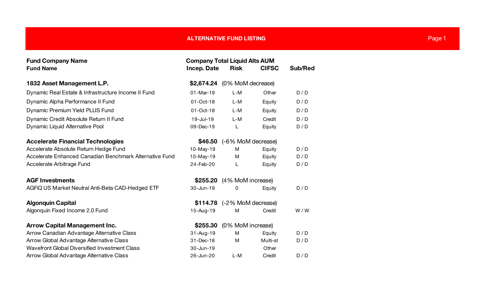| <b>Fund Company Name</b><br><b>Fund Name</b>            | <b>Company Total Liquid Alts AUM</b><br><b>Incep. Date</b> | <b>Risk</b>        | <b>CIFSC</b> | Sub/Red |
|---------------------------------------------------------|------------------------------------------------------------|--------------------|--------------|---------|
| 1832 Asset Management L.P.                              | \$2,674.24                                                 | (0% MoM decrease)  |              |         |
| Dynamic Real Estate & Infrastructure Income II Fund     | $01-Mar-19$                                                | $L-M$              | Other        | D/D     |
| Dynamic Alpha Performance II Fund                       | 01-Oct-18                                                  | L-M                | Equity       | D/D     |
| Dynamic Premium Yield PLUS Fund                         | 01-Oct-18                                                  | $L-M$              | Equity       | D/D     |
| Dynamic Credit Absolute Return II Fund                  | 19-Jul-19                                                  | $L-M$              | Credit       | D/D     |
| Dynamic Liquid Alternative Pool                         | 09-Dec-19                                                  | L                  | Equity       | D/D     |
| <b>Accelerate Financial Technologies</b>                | \$46.50                                                    | (-6% MoM decrease) |              |         |
| Accelerate Absolute Return Hedge Fund                   | 10-May-19                                                  | M                  | Equity       | D/D     |
| Accelerate Enhanced Canadian Benchmark Alternative Fund | 10-May-19                                                  | М                  | Equity       | D/D     |
| Accelerate Arbitrage Fund                               | 24-Feb-20                                                  | L                  | Equity       | D/D     |
| <b>AGF Investments</b>                                  | \$255.20                                                   | (4% MoM increase)  |              |         |
| AGFIQ US Market Neutral Anti-Beta CAD-Hedged ETF        | 30-Jun-19                                                  | 0                  | Equity       | D/D     |
| <b>Algonquin Capital</b>                                | \$114.78                                                   | (-2% MoM decrease) |              |         |
| Algonquin Fixed Income 2.0 Fund                         | 15-Aug-19                                                  | M                  | Credit       | W/W     |
| <b>Arrow Capital Management Inc.</b>                    | \$255.30                                                   | (0% MoM increase)  |              |         |
| Arrow Canadian Advantage Alternative Class              | 31-Aug-19                                                  | M                  | Equity       | D/D     |
| Arrow Global Advantage Alternative Class                | 31-Dec-18                                                  | м                  | Multi-st     | D/D     |
| Wavefront Global Diversified Investment Class           | 30-Jun-19                                                  |                    | Other        |         |
| Arrow Global Advantage Alternative Class                | 26-Jun-20                                                  | $L-M$              | Credit       | D/D     |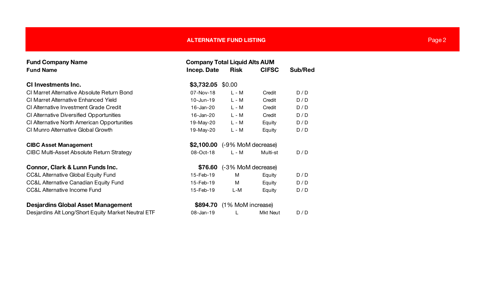| <b>Fund Company Name</b><br><b>Company Total Liquid Alts AUM</b> |                   |                               |                 |         |
|------------------------------------------------------------------|-------------------|-------------------------------|-----------------|---------|
| <b>Fund Name</b>                                                 | Incep. Date       | <b>Risk</b>                   | <b>CIFSC</b>    | Sub/Red |
| <b>CI Investments Inc.</b>                                       | \$3,732.05 \$0.00 |                               |                 |         |
| CI Marret Alternative Absolute Return Bond                       | $07 - Nov - 18$   | $L - M$                       | Credit          | D/D     |
|                                                                  |                   |                               |                 |         |
| CI Marret Alternative Enhanced Yield                             | $10$ -Jun-19      | $L - M$                       | Credit          | D/D     |
| CI Alternative Investment Grade Credit                           | 16-Jan-20         | $L - M$                       | Credit          | D/D     |
| CI Alternative Diversified Opportunities                         | 16-Jan-20         | $L - M$                       | Credit          | D/D     |
| CI Alternative North American Opportunities                      | 19-May-20         | L - M                         | Equity          | D/D     |
| CI Munro Alternative Global Growth                               | 19-May-20         | $L - M$                       | Equity          | D/D     |
| <b>CIBC Asset Management</b>                                     |                   | \$2,100.00 (-9% MoM decrease) |                 |         |
| <b>CIBC Multi-Asset Absolute Return Strategy</b>                 | 08-Oct-18         | $L - M$                       | Multi-st        | D/D     |
| Connor, Clark & Lunn Funds Inc.                                  | \$76.60           | (-3% MoM decrease)            |                 |         |
| <b>CC&amp;L Alternative Global Equity Fund</b>                   | 15-Feb-19         | м                             | Equity          | D/D     |
| <b>CC&amp;L Alternative Canadian Equity Fund</b>                 | 15-Feb-19         | M                             | Equity          | D/D     |
| <b>CC&amp;L Alternative Income Fund</b>                          | 15-Feb-19         | L-M                           | Equity          | D/D     |
| <b>Desjardins Global Asset Management</b>                        | \$894.70          | (1% MoM increase)             |                 |         |
| Desjardins Alt Long/Short Equity Market Neutral ETF              | 08-Jan-19         |                               | <b>Mkt Neut</b> | D/D     |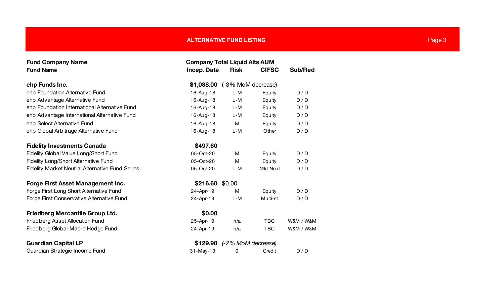| <b>Fund Company Name</b>                               | <b>Company Total Liquid Alts AUM</b> |                    |                 |           |  |  |
|--------------------------------------------------------|--------------------------------------|--------------------|-----------------|-----------|--|--|
| <b>Fund Name</b>                                       | Incep. Date                          | <b>Risk</b>        | <b>CIFSC</b>    | Sub/Red   |  |  |
| ehp Funds Inc.                                         | \$1,088.00                           | (-3% MoM decrease) |                 |           |  |  |
| ehp Foundation Alternative Fund                        | 16-Aug-18                            | $L-M$              | Equity          | D/D       |  |  |
| ehp Advantage Alternative Fund                         | 16-Aug-18                            | L-M                | Equity          | D/D       |  |  |
| ehp Foundation International Alternative Fund          | 16-Aug-18                            | $L-M$              | Equity          | D/D       |  |  |
| ehp Advantage International Alternative Fund           | 16-Aug-18                            | L-M                | Equity          | D/D       |  |  |
| ehp Select Alternative Fund                            | 16-Aug-18                            | M                  | Equity          | D/D       |  |  |
| ehp Global Arbitrage Alternative Fund                  | 16-Aug-18                            | $L-M$              | Other           | D/D       |  |  |
| <b>Fidelity Investments Canada</b>                     | \$497.60                             |                    |                 |           |  |  |
| Fidelity Global Value Long/Short Fund                  | 05-Oct-20                            | M                  | Equity          | D/D       |  |  |
| Fidelity Long/Short Alternative Fund                   | 05-Oct-20                            | M                  | Equity          | D/D       |  |  |
| <b>Fidelity Market Neutral Alternative Fund Series</b> | 05-Oct-20                            | L-M                | <b>Mkt Neut</b> | D/D       |  |  |
| <b>Forge First Asset Management Inc.</b>               | \$216.60                             | \$0.00             |                 |           |  |  |
| Forge First Long Short Alternative Fund                | 24-Apr-19                            | M                  | Equity          | D/D       |  |  |
| Forge First Conservative Alternative Fund              | 24-Apr-19                            | $L-M$              | Multi-st        | D/D       |  |  |
| <b>Friedberg Mercantile Group Ltd.</b>                 | \$0.00                               |                    |                 |           |  |  |
| <b>Friedberg Asset Allocation Fund</b>                 | 25-Apr-19                            | n/a                | <b>TBC</b>      | W&M / W&M |  |  |
| Friedberg Global-Macro Hedge Fund                      | 24-Apr-19                            | n/a                | <b>TBC</b>      | W&M / W&M |  |  |
| <b>Guardian Capital LP</b>                             | \$129.90                             | (-2% MoM decrease) |                 |           |  |  |
| Guardian Strategic Income Fund                         | 31-May-13                            | 0                  | Credit          | D/D       |  |  |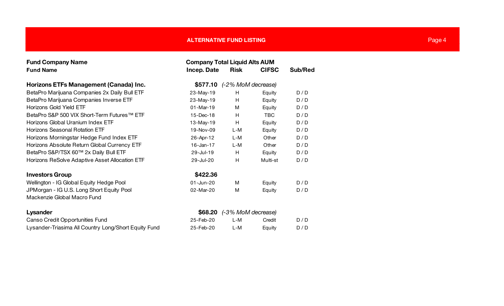| <b>Fund Company Name</b>                             | <b>Company Total Liquid Alts AUM</b> |                    |              |         |  |
|------------------------------------------------------|--------------------------------------|--------------------|--------------|---------|--|
| <b>Fund Name</b>                                     | Incep. Date                          | <b>Risk</b>        | <b>CIFSC</b> | Sub/Red |  |
| Horizons ETFs Management (Canada) Inc.               | \$577.10                             | (-2% MoM decrease) |              |         |  |
| BetaPro Marijuana Companies 2x Daily Bull ETF        | 23-May-19                            | H                  | Equity       | D/D     |  |
| BetaPro Marijuana Companies Inverse ETF              | 23-May-19                            | H                  | Equity       | D/D     |  |
| <b>Horizons Gold Yield ETF</b>                       | $01-Mar-19$                          | М                  | Equity       | D/D     |  |
| BetaPro S&P 500 VIX Short-Term Futures™ ETF          | 15-Dec-18                            | H                  | <b>TBC</b>   | D/D     |  |
| Horizons Global Uranium Index ETF                    | 13-May-19                            | H.                 | Equity       | D/D     |  |
| <b>Horizons Seasonal Rotation ETF</b>                | 19-Nov-09                            | L-M                | Equity       | D/D     |  |
| Horizons Morningstar Hedge Fund Index ETF            | 26-Apr-12                            | L-M                | Other        | D/D     |  |
| Horizons Absolute Return Global Currency ETF         | $16$ -Jan-17                         | $L-M$              | Other        | D/D     |  |
| BetaPro S&P/TSX 60™ 2x Daily Bull ETF                | 29-Jul-19                            | H                  | Equity       | D/D     |  |
| Horizons ReSolve Adaptive Asset Allocation ETF       | 29-Jul-20                            | H                  | Multi-st     | D/D     |  |
| <b>Investors Group</b>                               | \$422.36                             |                    |              |         |  |
| Wellington - IG Global Equity Hedge Pool             | 01-Jun-20                            | М                  | Equity       | D/D     |  |
| JPMorgan - IG U.S. Long Short Equity Pool            | 02-Mar-20                            | м                  | Equity       | D/D     |  |
| Mackenzie Global Macro Fund                          |                                      |                    |              |         |  |
| Lysander                                             | \$68.20                              | (-3% MoM decrease) |              |         |  |
| Canso Credit Opportunities Fund                      | 25-Feb-20                            | L-M                | Credit       | D/D     |  |
| Lysander-Triasima All Country Long/Short Equity Fund | 25-Feb-20                            | L-M                | Equity       | D/D     |  |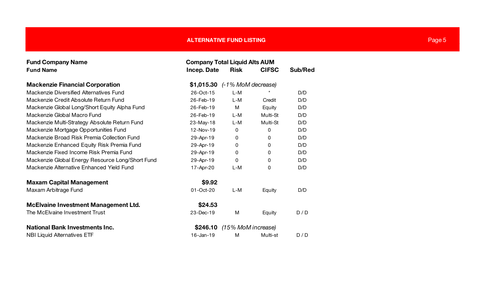| <b>Fund Company Name</b>                         | <b>Company Total Liquid Alts AUM</b> |                    |              |         |  |  |
|--------------------------------------------------|--------------------------------------|--------------------|--------------|---------|--|--|
| <b>Fund Name</b>                                 | Incep. Date                          | <b>Risk</b>        | <b>CIFSC</b> | Sub/Red |  |  |
| <b>Mackenzie Financial Corporation</b>           | \$1,015.30 (-1% MoM decrease)        |                    |              |         |  |  |
| Mackenzie Diversified Alternatives Fund          | 26-Oct-15                            | $L-M$              |              | D/D     |  |  |
| Mackenzie Credit Absolute Return Fund            | 26-Feb-19                            | $L-M$              | Credit       | D/D     |  |  |
| Mackenzie Global Long/Short Equity Alpha Fund    | 26-Feb-19                            | M                  | Equity       | D/D     |  |  |
| Mackenzie Global Macro Fund                      | 26-Feb-19                            | $L-M$              | Multi-St     | D/D     |  |  |
| Mackenzie Multi-Strategy Absolute Return Fund    | 23-May-18                            | L-M                | Multi-St     | D/D     |  |  |
| Mackenzie Mortgage Opportunities Fund            | 12-Nov-19                            | 0                  | 0            | D/D     |  |  |
| Mackenzie Broad Risk Premia Collection Fund      | 29-Apr-19                            | 0                  | 0            | D/D     |  |  |
| Mackenzie Enhanced Equity Risk Premia Fund       | 29-Apr-19                            | 0                  | 0            | D/D     |  |  |
| Mackenzie Fixed Income Risk Premia Fund          | 29-Apr-19                            | 0                  | 0            | D/D     |  |  |
| Mackenzie Global Energy Resource Long/Short Fund | 29-Apr-19                            | 0                  | 0            | D/D     |  |  |
| Mackenzie Alternative Enhanced Yield Fund        | 17-Apr-20                            | $L-M$              | 0            | D/D     |  |  |
| <b>Maxam Capital Management</b>                  | \$9.92                               |                    |              |         |  |  |
| Maxam Arbitrage Fund                             | 01-Oct-20                            | L-M                | Equity       | D/D     |  |  |
| <b>McElvaine Investment Management Ltd.</b>      | \$24.53                              |                    |              |         |  |  |
| The McElvaine Investment Trust                   | 23-Dec-19                            | M                  | Equity       | D/D     |  |  |
| <b>National Bank Investments Inc.</b>            | \$246.10                             | (15% MoM increase) |              |         |  |  |
| <b>NBI Liquid Alternatives ETF</b>               | $16$ -Jan-19                         | м                  | Multi-st     | D/D     |  |  |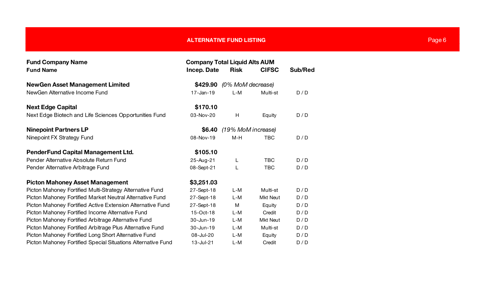| <b>Fund Company Name</b>                                     | <b>Company Total Liquid Alts AUM</b> |                    |                 |         |  |
|--------------------------------------------------------------|--------------------------------------|--------------------|-----------------|---------|--|
| <b>Fund Name</b>                                             | <b>Incep. Date</b>                   | <b>Risk</b>        | <b>CIFSC</b>    | Sub/Red |  |
| <b>NewGen Asset Management Limited</b>                       | \$429.90<br>(0% MoM decrease)        |                    |                 |         |  |
| NewGen Alternative Income Fund                               | $17 - Jan - 19$                      | L-M                | Multi-st        | D/D     |  |
| <b>Next Edge Capital</b>                                     | \$170.10                             |                    |                 |         |  |
| Next Edge Biotech and Life Sciences Opportunities Fund       | 03-Nov-20                            | H                  | Equity          | D/D     |  |
| <b>Ninepoint Partners LP</b>                                 | \$6.40                               | (19% MoM increase) |                 |         |  |
| Ninepoint FX Strategy Fund                                   | 08-Nov-19                            | $M-H$              | <b>TBC</b>      | D/D     |  |
| <b>PenderFund Capital Management Ltd.</b>                    | \$105.10                             |                    |                 |         |  |
| Pender Alternative Absolute Return Fund                      | 25-Aug-21                            | L                  | <b>TBC</b>      | D/D     |  |
| Pender Alternative Arbitrage Fund                            | 08-Sept-21                           | L                  | <b>TBC</b>      | D/D     |  |
| <b>Picton Mahoney Asset Management</b>                       | \$3,251.03                           |                    |                 |         |  |
| Picton Mahoney Fortified Multi-Strategy Alternative Fund     | 27-Sept-18                           | $L-M$              | Multi-st        | D/D     |  |
| Picton Mahoney Fortified Market Neutral Alternative Fund     | 27-Sept-18                           | L-M                | <b>Mkt Neut</b> | D/D     |  |
| Picton Mahoney Fortified Active Extension Alternative Fund   | 27-Sept-18                           | M                  | Equity          | D/D     |  |
| Picton Mahoney Fortified Income Alternative Fund             | 15-Oct-18                            | $L-M$              | Credit          | D/D     |  |
| Picton Mahoney Fortified Arbitrage Alternative Fund          | 30-Jun-19                            | $L-M$              | <b>Mkt Neut</b> | D/D     |  |
| Picton Mahoney Fortified Arbitrage Plus Alternative Fund     | 30-Jun-19                            | L-M                | Multi-st        | D/D     |  |
| Picton Mahoney Fortified Long Short Alternative Fund         | 08-Jul-20                            | L-M                | Equity          | D/D     |  |
| Picton Mahoney Fortified Special Situations Alternative Fund | 13-Jul-21                            | L-M                | Credit          | D/D     |  |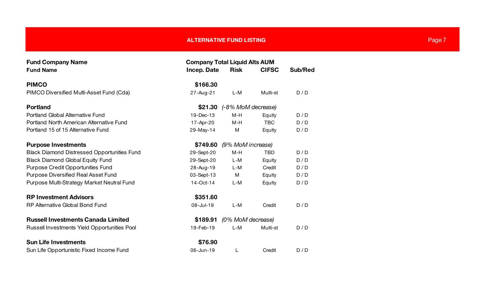| <b>Fund Company Name</b>                           | <b>Company Total Liquid Alts AUM</b> |                    |              |         |  |
|----------------------------------------------------|--------------------------------------|--------------------|--------------|---------|--|
| <b>Fund Name</b>                                   | Incep. Date                          | <b>Risk</b>        | <b>CIFSC</b> | Sub/Red |  |
| <b>PIMCO</b>                                       | \$166.30                             |                    |              |         |  |
| PIMCO Diversified Multi-Asset Fund (Cda)           | 27-Aug-21                            | L-M                | Multi-st     | D/D     |  |
| <b>Portland</b>                                    | \$21.30                              | (-8% MoM decrease) |              |         |  |
| Portland Global Alternative Fund                   | 19-Dec-13                            | M-H                | Equity       | D/D     |  |
| Portland North American Alternative Fund           | 17-Apr-20                            | M-H                | <b>TBC</b>   | D/D     |  |
| Portland 15 of 15 Alternative Fund                 | 29-May-14                            | M                  | Equity       | D/D     |  |
| <b>Purpose Investments</b>                         | \$749.60                             | (9% MoM increase)  |              |         |  |
| <b>Black Diamond Distressed Opportunities Fund</b> | 29-Sept-20                           | $M-H$              | <b>TBD</b>   | D/D     |  |
| <b>Black Diamond Global Equity Fund</b>            | 29-Sept-20                           | L-M                | Equity       | D/D     |  |
| Purpose Credit Opportunities Fund                  | 28-Aug-19                            | L-M                | Credit       | D/D     |  |
| <b>Purpose Diversified Real Asset Fund</b>         | 03-Sept-13                           | М                  | Equity       | D/D     |  |
| Purpose Multi-Strategy Market Neutral Fund         | 14-Oct-14                            | $L-M$              | Equity       | D/D     |  |
| <b>RP Investment Advisors</b>                      | \$351.60                             |                    |              |         |  |
| <b>RP Alternative Global Bond Fund</b>             | 08-Jul-19                            | $L-M$              | Credit       | D/D     |  |
| <b>Russell Investments Canada Limited</b>          | \$189.91                             | (0% MoM decrease)  |              |         |  |
| Russell Investments Yield Opportunities Pool       | 19-Feb-19                            | $L-M$              | Multi-st     | D/D     |  |
| <b>Sun Life Investments</b>                        | \$76.90                              |                    |              |         |  |
| Sun Life Opportunistic Fixed Income Fund           | 06-Jun-19                            | L                  | Credit       | D/D     |  |